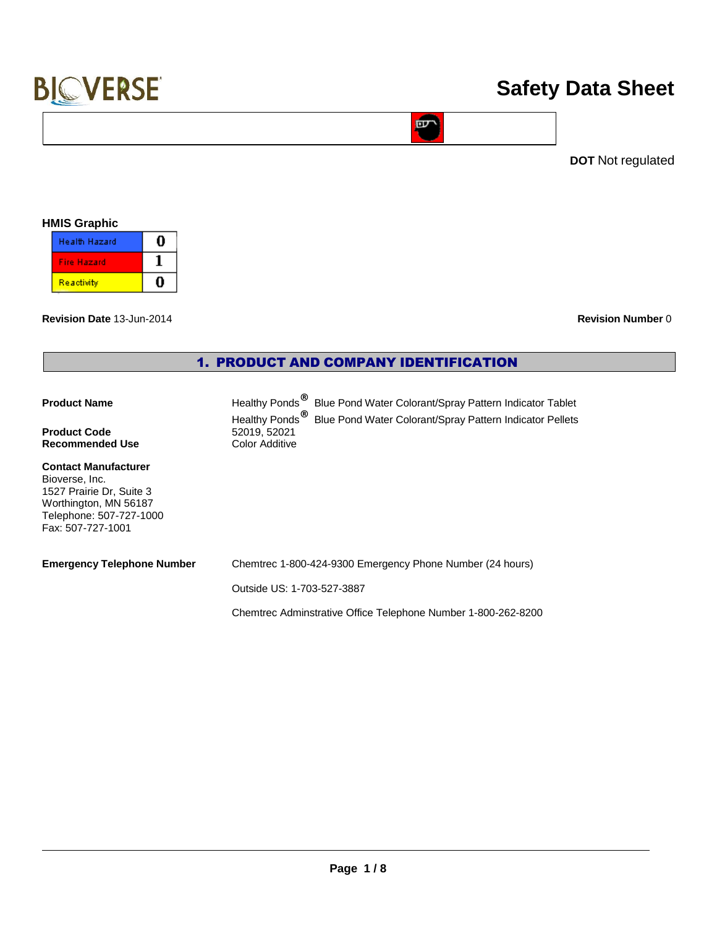# **Safety Data Sheet**

**DOT** Not regulated

## **HMIS Graphic**

| <b>Health Hazard</b> |  |
|----------------------|--|
| <b>Fire Hazard</b>   |  |
| Reactivity           |  |

**Revision Date** 13-Jun-2014 **Revision Number** 0

## 1. PRODUCT AND COMPANY IDENTIFICATION

# **Product Name Healthy Ponds**<sup>®</sup> Blue Pond Water Colorant/Spray Pattern Indicator Tablet

### **Product Code**<br> **Recommended Use**<br> **Color Additive Recommended Use**

#### **Contact Manufacturer** Bioverse, Inc. 1527 Prairie Dr, Suite 3 Worthington, MN 56187 Telephone: 507-727-1000 Fax: 507-727-1001

| <b>Emergency Telephone Number</b> | Chemtrec 1-800-424-9300 Emergency Phone Number (24 hours) |
|-----------------------------------|-----------------------------------------------------------|

Outside US: 1-703-527-3887

Chemtrec Adminstrative Office Telephone Number 1-800-262-8200

Healthy Ponds<sup>®</sup> Blue Pond Water Colorant/Spray Pattern Indicator Pellets

**EDT**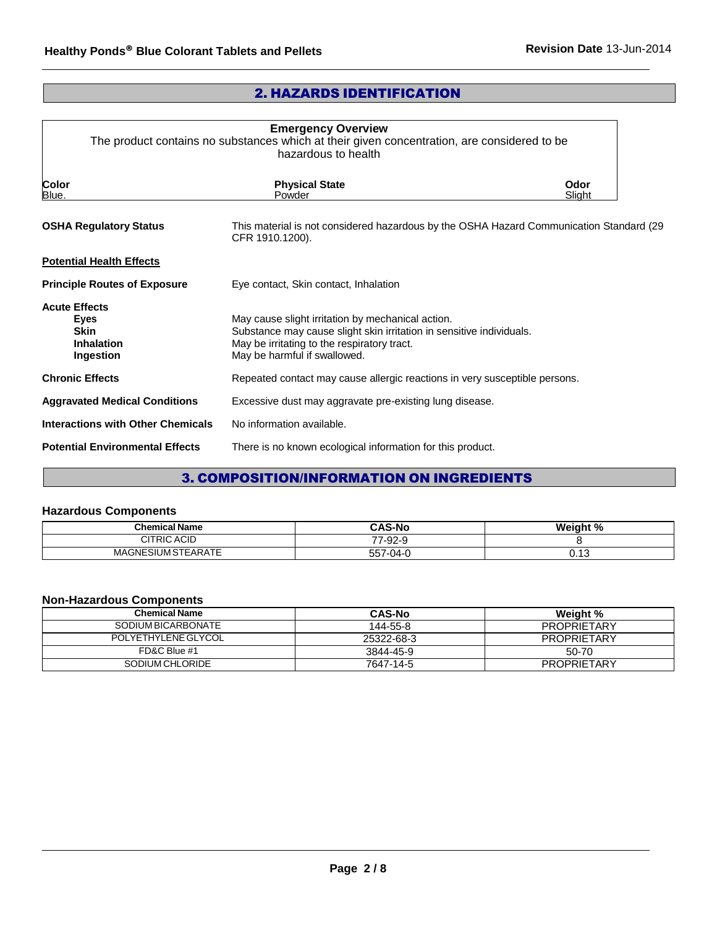# 2. HAZARDS IDENTIFICATION

| <b>Emergency Overview</b><br>The product contains no substances which at their given concentration, are considered to be<br>hazardous to health                                                          |                |  |
|----------------------------------------------------------------------------------------------------------------------------------------------------------------------------------------------------------|----------------|--|
| <b>Physical State</b><br>Powder                                                                                                                                                                          | Odor<br>Slight |  |
| This material is not considered hazardous by the OSHA Hazard Communication Standard (29<br>CFR 1910.1200).                                                                                               |                |  |
|                                                                                                                                                                                                          |                |  |
| Eye contact, Skin contact, Inhalation                                                                                                                                                                    |                |  |
| May cause slight irritation by mechanical action.<br>Substance may cause slight skin irritation in sensitive individuals.<br>May be irritating to the respiratory tract.<br>May be harmful if swallowed. |                |  |
| Repeated contact may cause allergic reactions in very susceptible persons.                                                                                                                               |                |  |
| Excessive dust may aggravate pre-existing lung disease.                                                                                                                                                  |                |  |
| No information available.                                                                                                                                                                                |                |  |
| There is no known ecological information for this product.                                                                                                                                               |                |  |
|                                                                                                                                                                                                          |                |  |

# 3. COMPOSITION/INFORMATION ON INGREDIENTS

## **Hazardous Components**

| <b>Chemical Name</b>    | <b>CAS-No</b>  | Weight %                                |
|-------------------------|----------------|-----------------------------------------|
| <b>CITRIC ACID</b>      | $\sim$<br>ึ ∠ี |                                         |
| SIUM STEARATE.<br>MAGNE | 557<br>،−04)4- | $\overline{\phantom{a}}$<br><b>U.IJ</b> |

## **Non-Hazardous Components**

| <b>Chemical Name</b> | <b>CAS-No</b> | Weight %           |
|----------------------|---------------|--------------------|
| SODIUM BICARBONATE   | 144-55-8      | <b>PROPRIETARY</b> |
| POLYETHYLENE GLYCOL  | 25322-68-3    | <b>PROPRIETARY</b> |
| FD&C Blue #1         | 3844-45-9     | 50-70              |
| SODIUM CHLORIDE      | 7647-14-5     | <b>PROPRIETARY</b> |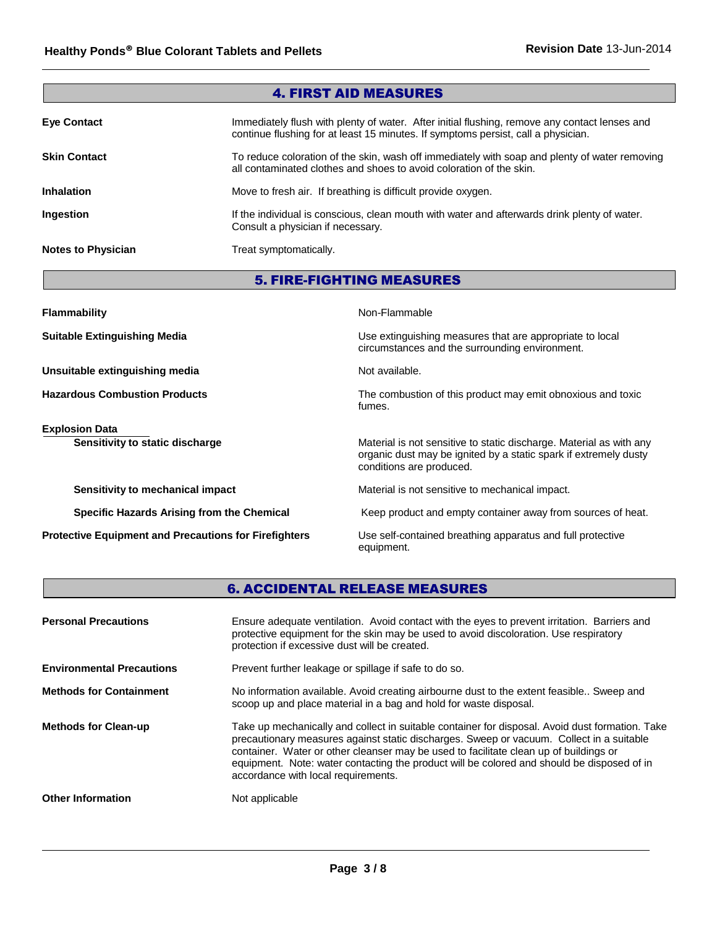| <b>4. FIRST AID MEASURES</b> |                                                                                                                                                                                    |  |
|------------------------------|------------------------------------------------------------------------------------------------------------------------------------------------------------------------------------|--|
| <b>Eye Contact</b>           | Immediately flush with plenty of water. After initial flushing, remove any contact lenses and<br>continue flushing for at least 15 minutes. If symptoms persist, call a physician. |  |
| <b>Skin Contact</b>          | To reduce coloration of the skin, wash off immediately with soap and plenty of water removing<br>all contaminated clothes and shoes to avoid coloration of the skin.               |  |
| <b>Inhalation</b>            | Move to fresh air. If breathing is difficult provide oxygen.                                                                                                                       |  |
| Ingestion                    | If the individual is conscious, clean mouth with water and afterwards drink plenty of water.<br>Consult a physician if necessary.                                                  |  |
| <b>Notes to Physician</b>    | Treat symptomatically.                                                                                                                                                             |  |

# 5. FIRE-FIGHTING MEASURES

| <b>Flammability</b>                                          | Non-Flammable                                                                                                                                                       |  |
|--------------------------------------------------------------|---------------------------------------------------------------------------------------------------------------------------------------------------------------------|--|
| <b>Suitable Extinguishing Media</b>                          | Use extinguishing measures that are appropriate to local<br>circumstances and the surrounding environment.                                                          |  |
| Unsuitable extinguishing media                               | Not available.                                                                                                                                                      |  |
| <b>Hazardous Combustion Products</b>                         | The combustion of this product may emit obnoxious and toxic<br>fumes.                                                                                               |  |
| <b>Explosion Data</b>                                        |                                                                                                                                                                     |  |
| Sensitivity to static discharge                              | Material is not sensitive to static discharge. Material as with any<br>organic dust may be ignited by a static spark if extremely dusty<br>conditions are produced. |  |
| Sensitivity to mechanical impact                             | Material is not sensitive to mechanical impact.                                                                                                                     |  |
| Specific Hazards Arising from the Chemical                   | Keep product and empty container away from sources of heat.                                                                                                         |  |
| <b>Protective Equipment and Precautions for Firefighters</b> | Use self-contained breathing apparatus and full protective<br>equipment.                                                                                            |  |

# 6. ACCIDENTAL RELEASE MEASURES

| <b>Personal Precautions</b>      | Ensure adequate ventilation. Avoid contact with the eyes to prevent irritation. Barriers and<br>protective equipment for the skin may be used to avoid discoloration. Use respiratory<br>protection if excessive dust will be created.                                                                                                                                                                                    |
|----------------------------------|---------------------------------------------------------------------------------------------------------------------------------------------------------------------------------------------------------------------------------------------------------------------------------------------------------------------------------------------------------------------------------------------------------------------------|
| <b>Environmental Precautions</b> | Prevent further leakage or spillage if safe to do so.                                                                                                                                                                                                                                                                                                                                                                     |
| <b>Methods for Containment</b>   | No information available. Avoid creating airbourne dust to the extent feasible Sweep and<br>scoop up and place material in a bag and hold for waste disposal.                                                                                                                                                                                                                                                             |
| <b>Methods for Clean-up</b>      | Take up mechanically and collect in suitable container for disposal. Avoid dust formation. Take<br>precautionary measures against static discharges. Sweep or vacuum. Collect in a suitable<br>container. Water or other cleanser may be used to facilitate clean up of buildings or<br>equipment. Note: water contacting the product will be colored and should be disposed of in<br>accordance with local requirements. |
| <b>Other Information</b>         | Not applicable                                                                                                                                                                                                                                                                                                                                                                                                            |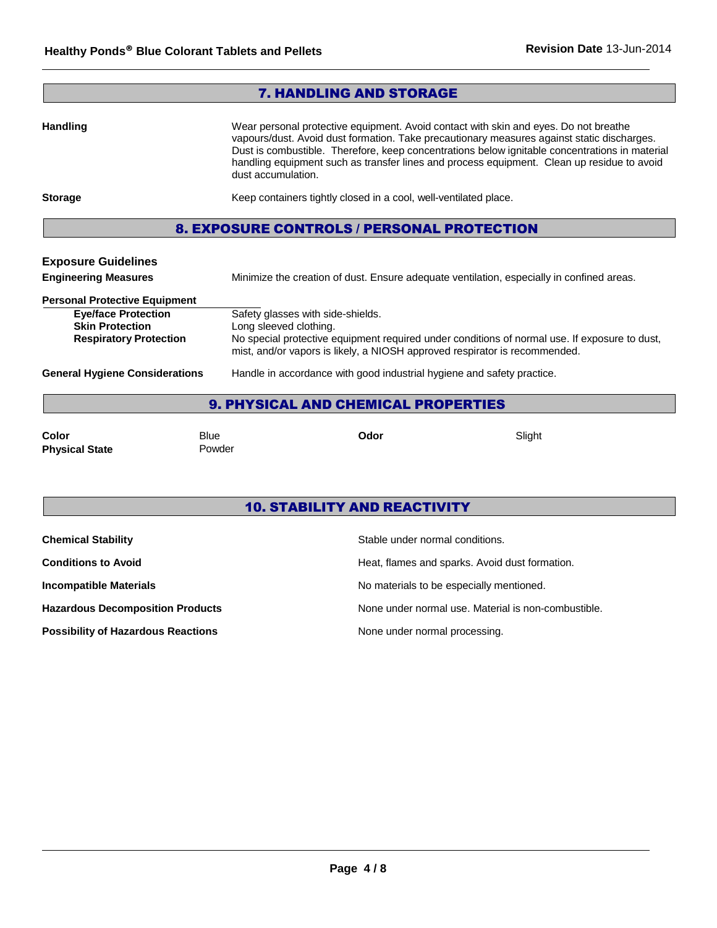| <b>7. HANDLING AND STORAGE</b>                                                                                                |                                                                                                                                                                                                                                                                                                                                                                                                          |  |
|-------------------------------------------------------------------------------------------------------------------------------|----------------------------------------------------------------------------------------------------------------------------------------------------------------------------------------------------------------------------------------------------------------------------------------------------------------------------------------------------------------------------------------------------------|--|
| <b>Handling</b>                                                                                                               | Wear personal protective equipment. Avoid contact with skin and eyes. Do not breathe<br>vapours/dust. Avoid dust formation. Take precautionary measures against static discharges.<br>Dust is combustible. Therefore, keep concentrations below ignitable concentrations in material<br>handling equipment such as transfer lines and process equipment. Clean up residue to avoid<br>dust accumulation. |  |
| <b>Storage</b>                                                                                                                | Keep containers tightly closed in a cool, well-ventilated place.                                                                                                                                                                                                                                                                                                                                         |  |
| <b>8. EXPOSURE CONTROLS / PERSONAL PROTECTION</b>                                                                             |                                                                                                                                                                                                                                                                                                                                                                                                          |  |
| <b>Exposure Guidelines</b><br><b>Engineering Measures</b>                                                                     | Minimize the creation of dust. Ensure adequate ventilation, especially in confined areas.                                                                                                                                                                                                                                                                                                                |  |
| <b>Personal Protective Equipment</b><br><b>Eye/face Protection</b><br><b>Skin Protection</b><br><b>Respiratory Protection</b> | Safety glasses with side-shields.<br>Long sleeved clothing.<br>No special protective equipment required under conditions of normal use. If exposure to dust,<br>mist, and/or vapors is likely, a NIOSH approved respirator is recommended.                                                                                                                                                               |  |
| <b>General Hygiene Considerations</b>                                                                                         | Handle in accordance with good industrial hygiene and safety practice.                                                                                                                                                                                                                                                                                                                                   |  |
| <b>9. PHYSICAL AND CHEMICAL PROPERTIES</b>                                                                                    |                                                                                                                                                                                                                                                                                                                                                                                                          |  |

**Color** Blue **Odor** Slight **Physical State Powder** 

# 10. STABILITY AND REACTIVITY

| <b>Chemical Stability</b>                 | Stable under normal conditions.                     |
|-------------------------------------------|-----------------------------------------------------|
| <b>Conditions to Avoid</b>                | Heat, flames and sparks. Avoid dust formation.      |
| <b>Incompatible Materials</b>             | No materials to be especially mentioned.            |
| <b>Hazardous Decomposition Products</b>   | None under normal use. Material is non-combustible. |
| <b>Possibility of Hazardous Reactions</b> | None under normal processing.                       |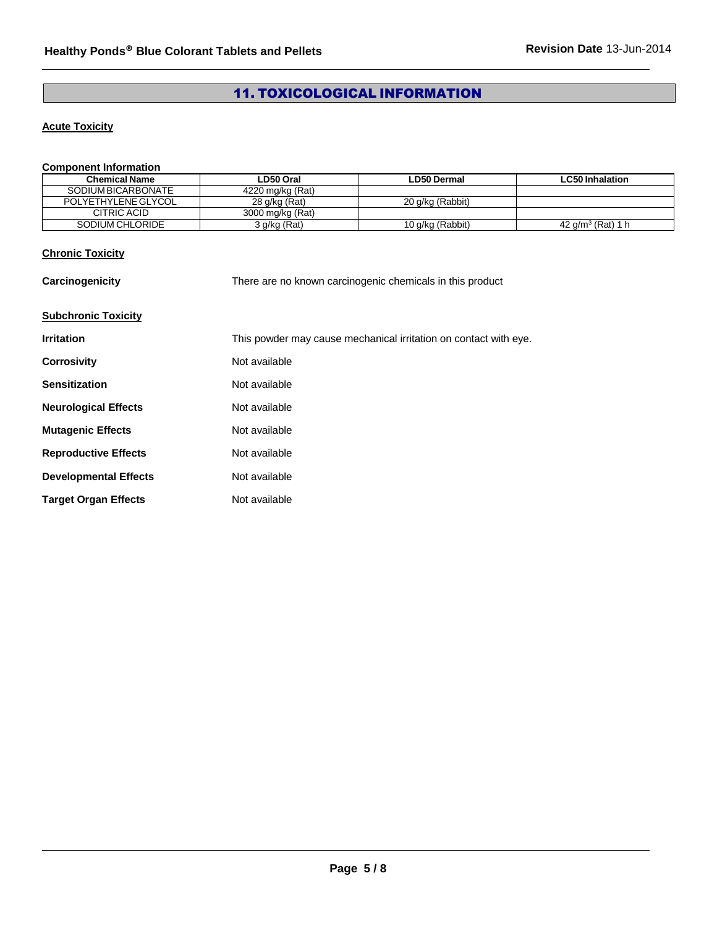# 11. TOXICOLOGICAL INFORMATION

## **Acute Toxicity**

## **Component Information**

| <b>Chemical Name</b> | LD50 Oral        | ∟D50 Dermal      | <b>LC50 Inhalation</b> |
|----------------------|------------------|------------------|------------------------|
| SODIUM BICARBONATE   | 4220 mg/kg (Rat) |                  |                        |
| POLYETHYLENE GLYCOL  | 28 g/kg (Rat)    | 20 g/kg (Rabbit) |                        |
| CITRIC ACID          | 3000 mg/kg (Rat) |                  |                        |
| SODIUM CHLORIDE      | 3 g/kg (Rat)     | 10 g/kg (Rabbit) | 42 $a/m^3$ (Rat) 1 h   |

## **Chronic Toxicity**

| Carcinogenicity              | There are no known carcinogenic chemicals in this product        |  |
|------------------------------|------------------------------------------------------------------|--|
| <b>Subchronic Toxicity</b>   |                                                                  |  |
| <b>Irritation</b>            | This powder may cause mechanical irritation on contact with eye. |  |
| <b>Corrosivity</b>           | Not available                                                    |  |
| <b>Sensitization</b>         | Not available                                                    |  |
| <b>Neurological Effects</b>  | Not available                                                    |  |
| <b>Mutagenic Effects</b>     | Not available                                                    |  |
| <b>Reproductive Effects</b>  | Not available                                                    |  |
| <b>Developmental Effects</b> | Not available                                                    |  |
| <b>Target Organ Effects</b>  | Not available                                                    |  |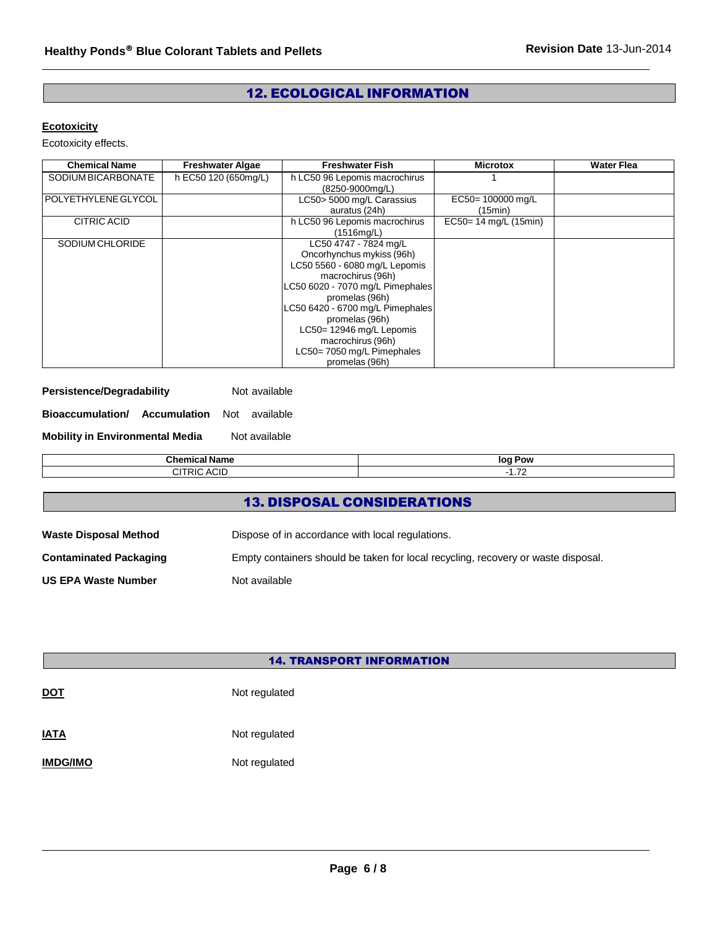# 12. ECOLOGICAL INFORMATION

# **Ecotoxicity**

Ecotoxicity effects.

| <b>Chemical Name</b>  | <b>Freshwater Algae</b> | <b>Freshwater Fish</b>           | <b>Microtox</b>          | <b>Water Flea</b> |
|-----------------------|-------------------------|----------------------------------|--------------------------|-------------------|
| SODIUM BICARBONATE    | h EC50 120 (650mg/L)    | h LC50 96 Lepomis macrochirus    |                          |                   |
|                       |                         | (8250-9000mg/L)                  |                          |                   |
| l POLYETHYLENE GLYCOL |                         | LC50> 5000 mg/L Carassius        | EC50=100000 mg/L         |                   |
|                       |                         | auratus (24h)                    | (15min)                  |                   |
| CITRIC ACID           |                         | h LC50 96 Lepomis macrochirus    | $EC50 = 14$ mg/L (15min) |                   |
|                       |                         | (1516mq/L)                       |                          |                   |
| SODIUM CHLORIDE       |                         | LC50 4747 - 7824 mg/L            |                          |                   |
|                       |                         | Oncorhynchus mykiss (96h)        |                          |                   |
|                       |                         | LC50 5560 - 6080 mg/L Lepomis    |                          |                   |
|                       |                         | macrochirus (96h)                |                          |                   |
|                       |                         | LC50 6020 - 7070 mg/L Pimephales |                          |                   |
|                       |                         | promelas (96h)                   |                          |                   |
|                       |                         | LC50 6420 - 6700 mg/L Pimephales |                          |                   |
|                       |                         | promelas (96h)                   |                          |                   |
|                       |                         | LC50= 12946 mg/L Lepomis         |                          |                   |
|                       |                         | macrochirus (96h)                |                          |                   |
|                       |                         | LC50=7050 mg/L Pimephales        |                          |                   |
|                       |                         | promelas (96h)                   |                          |                   |

| Persistence/Degradability | Not available |
|---------------------------|---------------|
|---------------------------|---------------|

| Bioaccumulation/ | Accumulation | Not available |  |
|------------------|--------------|---------------|--|
|                  |              |               |  |

**Mobility in Environmental Media** Not available

| <br>. | זהו<br>ΩV<br>- - -<br>$\overline{\phantom{a}}$<br>. |
|-------|-----------------------------------------------------|
| --    | $\rightarrow$<br>--                                 |

# 13. DISPOSAL CONSIDERATIONS

| <b>Waste Disposal Method</b>  | Dispose of in accordance with local regulations.                                  |
|-------------------------------|-----------------------------------------------------------------------------------|
| <b>Contaminated Packaging</b> | Empty containers should be taken for local recycling, recovery or waste disposal. |
| <b>US EPA Waste Number</b>    | Not available                                                                     |

|                 | <b>14. TRANSPORT INFORMATION</b> |  |  |  |  |
|-----------------|----------------------------------|--|--|--|--|
| <b>DOT</b>      | Not regulated                    |  |  |  |  |
| <b>IATA</b>     | Not regulated                    |  |  |  |  |
| <b>IMDG/IMO</b> | Not regulated                    |  |  |  |  |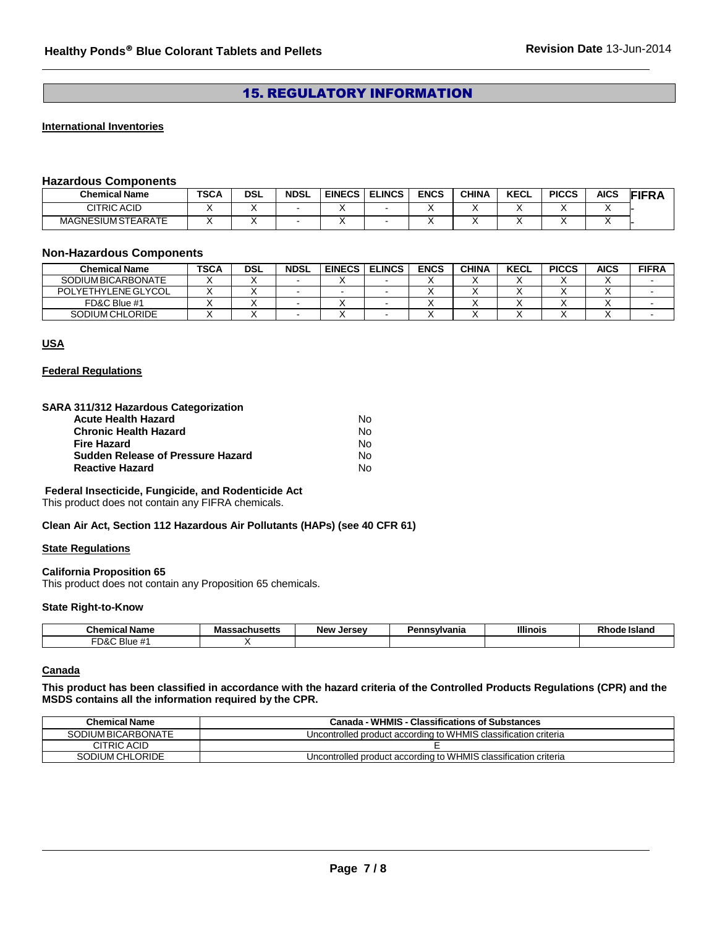# 15. REGULATORY INFORMATION

#### **International Inventories**

### **Hazardous Components**

| <b>Chemical Name</b>      | <b>TSCA</b> | <b>DSL</b> | <b>NDSL</b> | <b>EINECS</b> | <b>ELINCS</b> | <b>ENCS</b> | <b>CHINA</b> | <b>KECL</b> | <b>PICCS</b> | AICS | <b>FIFR</b> |
|---------------------------|-------------|------------|-------------|---------------|---------------|-------------|--------------|-------------|--------------|------|-------------|
| CITRIC ACID               |             |            |             |               |               |             |              |             |              |      |             |
| <b>MAGNESIUM STEARATE</b> |             |            |             |               |               |             |              |             |              |      |             |

#### **Non-Hazardous Components**

| Chemical Name       | TSCA | <b>DSL</b> | <b>NDSL</b> | <b>EINECS</b> | <b>ELINCS</b> | <b>ENCS</b> | <b>CHINA</b> | KECL | <b>PICCS</b> | <b>AICS</b> | <b>FIFRA</b> |
|---------------------|------|------------|-------------|---------------|---------------|-------------|--------------|------|--------------|-------------|--------------|
| SODIUM BICARBONATE  |      |            |             |               |               |             |              |      |              |             |              |
| POLYETHYLENE GLYCOL |      |            |             |               |               |             |              |      |              |             |              |
| FD&C Blue #1        |      |            |             |               |               |             |              |      |              |             |              |
| SODIUM CHLORIDE     |      |            |             |               |               |             |              |      |              |             |              |

#### **USA**

#### **Federal Regulations**

#### **SARA 311/312 Hazardous Categorization**

| Acute Health Hazard               | N٥ |
|-----------------------------------|----|
| Chronic Health Hazard             | N٥ |
| Fire Hazard                       | N٥ |
| Sudden Release of Pressure Hazard | N٥ |
| Reactive Hazard                   | N٥ |

**Federal Insecticide, Fungicide, and Rodenticide Act**

This product does not contain any FIFRA chemicals.

**Clean Air Act, Section 112 Hazardous Air Pollutants (HAPs) (see 40 CFR 61)**

### **State Regulations**

#### **California Proposition 65**

This product does not contain any Proposition 65 chemicals.

#### **State Right-to-Know**

| .<br>™hom.<br>N9.<br>name | <br>$1000 + 100$<br>.<br>⊶aunusetts<br>шаз | larcay<br><b>Nev</b><br>JE.<br>. | anna | <b>Illinois</b> | --<br><b>Island</b> |
|---------------------------|--------------------------------------------|----------------------------------|------|-----------------|---------------------|
| ™D&L<br>. .<br>Blue #     |                                            |                                  |      |                 |                     |

#### **Canada**

**This product has been classified in accordance with the hazard criteria of the Controlled Products Regulations (CPR) and the MSDS contains all the information required by the CPR.**

| <b>Chemical Name</b> | <b>Canada - WHMIS - Classifications of Substances</b>           |
|----------------------|-----------------------------------------------------------------|
| SODIUM BICARBONATE   | Uncontrolled product according to WHMIS classification criteria |
| CITRIC ACID          |                                                                 |
| SODIUM CHLORIDE      | Uncontrolled product according to WHMIS classification criteria |